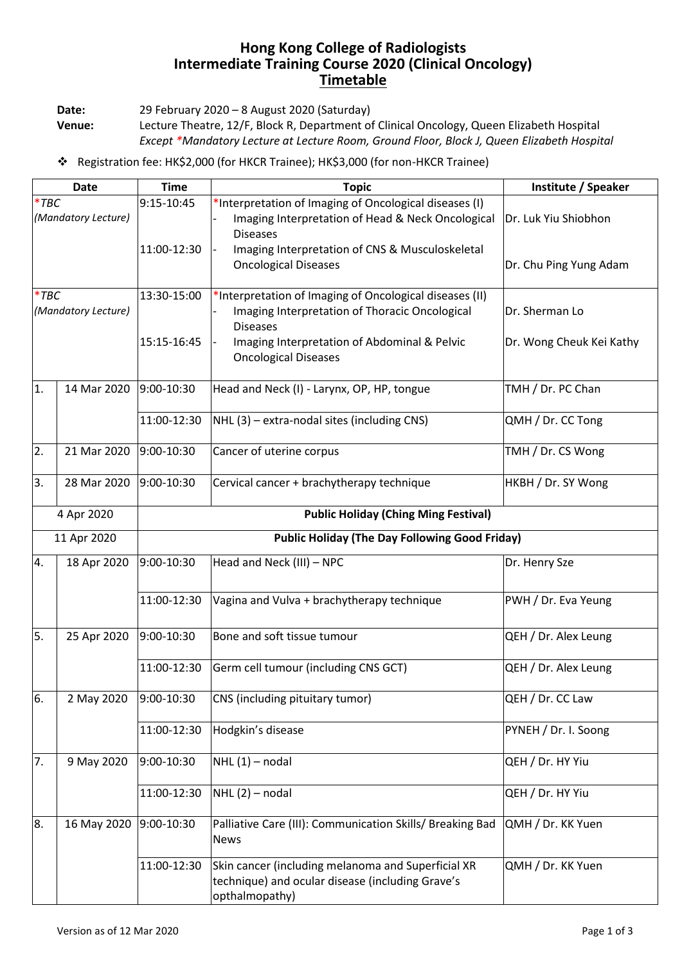## **Hong Kong College of Radiologists Intermediate Training Course 2020 (Clinical Oncology) Timetable**

**Date:** 29 February 2020 – 8 August 2020 (Saturday)

**Venue:** Lecture Theatre, 12/F, Block R, Department of Clinical Oncology, Queen Elizabeth Hospital *Except \*Mandatory Lecture at Lecture Room, Ground Floor, Block J, Queen Elizabeth Hospital*

Registration fee: HK\$2,000 (for HKCR Trainee); HK\$3,000 (for non-HKCR Trainee)

| <b>Date</b>                    |             | <b>Time</b>                                           | <b>Topic</b>                                                                                                                                                                 | Institute / Speaker                        |  |  |
|--------------------------------|-------------|-------------------------------------------------------|------------------------------------------------------------------------------------------------------------------------------------------------------------------------------|--------------------------------------------|--|--|
| $*$ TBC<br>(Mandatory Lecture) |             | 9:15-10:45                                            | *Interpretation of Imaging of Oncological diseases (I)<br>Imaging Interpretation of Head & Neck Oncological<br><b>Diseases</b>                                               | Dr. Luk Yiu Shiobhon                       |  |  |
|                                |             | 11:00-12:30                                           | Imaging Interpretation of CNS & Musculoskeletal<br><b>Oncological Diseases</b>                                                                                               | Dr. Chu Ping Yung Adam                     |  |  |
| $*$ TBC<br>(Mandatory Lecture) |             | 13:30-15:00<br>15:15-16:45                            | *Interpretation of Imaging of Oncological diseases (II)<br>Imaging Interpretation of Thoracic Oncological<br><b>Diseases</b><br>Imaging Interpretation of Abdominal & Pelvic | Dr. Sherman Lo<br>Dr. Wong Cheuk Kei Kathy |  |  |
|                                |             |                                                       | <b>Oncological Diseases</b>                                                                                                                                                  |                                            |  |  |
| 1.                             | 14 Mar 2020 | 9:00-10:30                                            | Head and Neck (I) - Larynx, OP, HP, tongue                                                                                                                                   | TMH / Dr. PC Chan                          |  |  |
|                                |             | 11:00-12:30                                           | NHL (3) - extra-nodal sites (including CNS)                                                                                                                                  | QMH / Dr. CC Tong                          |  |  |
| 2.                             | 21 Mar 2020 | 9:00-10:30                                            | Cancer of uterine corpus                                                                                                                                                     | TMH / Dr. CS Wong                          |  |  |
| 3.                             | 28 Mar 2020 | 9:00-10:30                                            | Cervical cancer + brachytherapy technique                                                                                                                                    | HKBH / Dr. SY Wong                         |  |  |
| 4 Apr 2020                     |             | <b>Public Holiday (Ching Ming Festival)</b>           |                                                                                                                                                                              |                                            |  |  |
| 11 Apr 2020                    |             | <b>Public Holiday (The Day Following Good Friday)</b> |                                                                                                                                                                              |                                            |  |  |
| 4.                             | 18 Apr 2020 | 9:00-10:30                                            | Head and Neck (III) - NPC                                                                                                                                                    | Dr. Henry Sze                              |  |  |
|                                |             | 11:00-12:30                                           | Vagina and Vulva + brachytherapy technique                                                                                                                                   | PWH / Dr. Eva Yeung                        |  |  |
| 5.                             | 25 Apr 2020 | 9:00-10:30                                            | Bone and soft tissue tumour                                                                                                                                                  | QEH / Dr. Alex Leung                       |  |  |
|                                |             | 11:00-12:30                                           | Germ cell tumour (including CNS GCT)                                                                                                                                         | QEH / Dr. Alex Leung                       |  |  |
| 6.                             | 2 May 2020  | 9:00-10:30                                            | CNS (including pituitary tumor)                                                                                                                                              | QEH / Dr. CC Law                           |  |  |
|                                |             | 11:00-12:30                                           | Hodgkin's disease                                                                                                                                                            | PYNEH / Dr. I. Soong                       |  |  |
| 7.                             | 9 May 2020  | 9:00-10:30                                            | $NHL(1)$ – nodal                                                                                                                                                             | QEH / Dr. HY Yiu                           |  |  |
|                                |             | 11:00-12:30                                           | $NHL(2)$ – nodal                                                                                                                                                             | QEH / Dr. HY Yiu                           |  |  |
| 8.                             | 16 May 2020 | 9:00-10:30                                            | Palliative Care (III): Communication Skills/ Breaking Bad<br><b>News</b>                                                                                                     | QMH / Dr. KK Yuen                          |  |  |
|                                |             | 11:00-12:30                                           | Skin cancer (including melanoma and Superficial XR<br>technique) and ocular disease (including Grave's<br>opthalmopathy)                                                     | QMH / Dr. KK Yuen                          |  |  |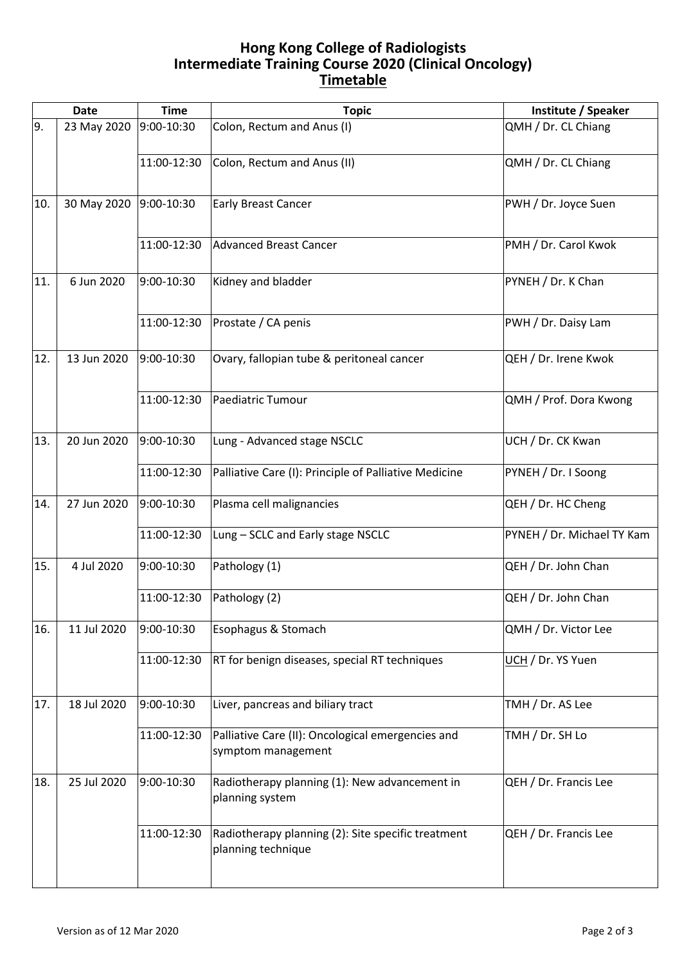## **Hong Kong College of Radiologists Intermediate Training Course 2020 (Clinical Oncology) Timetable**

|     | <b>Date</b> | <b>Time</b> | <b>Topic</b>                                                             | Institute / Speaker        |
|-----|-------------|-------------|--------------------------------------------------------------------------|----------------------------|
| 9.  | 23 May 2020 | 9:00-10:30  | Colon, Rectum and Anus (I)                                               | QMH / Dr. CL Chiang        |
|     |             | 11:00-12:30 | Colon, Rectum and Anus (II)                                              | QMH / Dr. CL Chiang        |
| 10. | 30 May 2020 | 9:00-10:30  | <b>Early Breast Cancer</b>                                               | PWH / Dr. Joyce Suen       |
|     |             | 11:00-12:30 | Advanced Breast Cancer                                                   | PMH / Dr. Carol Kwok       |
| 11. | 6 Jun 2020  | 9:00-10:30  | Kidney and bladder                                                       | PYNEH / Dr. K Chan         |
|     |             | 11:00-12:30 | Prostate / CA penis                                                      | PWH / Dr. Daisy Lam        |
| 12. | 13 Jun 2020 | 9:00-10:30  | Ovary, fallopian tube & peritoneal cancer                                | QEH / Dr. Irene Kwok       |
|     |             | 11:00-12:30 | Paediatric Tumour                                                        | QMH / Prof. Dora Kwong     |
| 13. | 20 Jun 2020 | 9:00-10:30  | Lung - Advanced stage NSCLC                                              | UCH / Dr. CK Kwan          |
|     |             | 11:00-12:30 | Palliative Care (I): Principle of Palliative Medicine                    | PYNEH / Dr. I Soong        |
| 14. | 27 Jun 2020 | 9:00-10:30  | Plasma cell malignancies                                                 | QEH / Dr. HC Cheng         |
|     |             | 11:00-12:30 | Lung - SCLC and Early stage NSCLC                                        | PYNEH / Dr. Michael TY Kam |
| 15. | 4 Jul 2020  | 9:00-10:30  | Pathology (1)                                                            | QEH / Dr. John Chan        |
|     |             | 11:00-12:30 | Pathology (2)                                                            | QEH / Dr. John Chan        |
| 16. | 11 Jul 2020 | 9:00-10:30  | Esophagus & Stomach                                                      | QMH / Dr. Victor Lee       |
|     |             | 11:00-12:30 | RT for benign diseases, special RT techniques                            | UCH / Dr. YS Yuen          |
| 17. | 18 Jul 2020 | 9:00-10:30  | Liver, pancreas and biliary tract                                        | TMH / Dr. AS Lee           |
|     |             | 11:00-12:30 | Palliative Care (II): Oncological emergencies and<br>symptom management  | TMH / Dr. SH Lo            |
| 18. | 25 Jul 2020 | 9:00-10:30  | Radiotherapy planning (1): New advancement in<br>planning system         | QEH / Dr. Francis Lee      |
|     |             | 11:00-12:30 | Radiotherapy planning (2): Site specific treatment<br>planning technique | QEH / Dr. Francis Lee      |